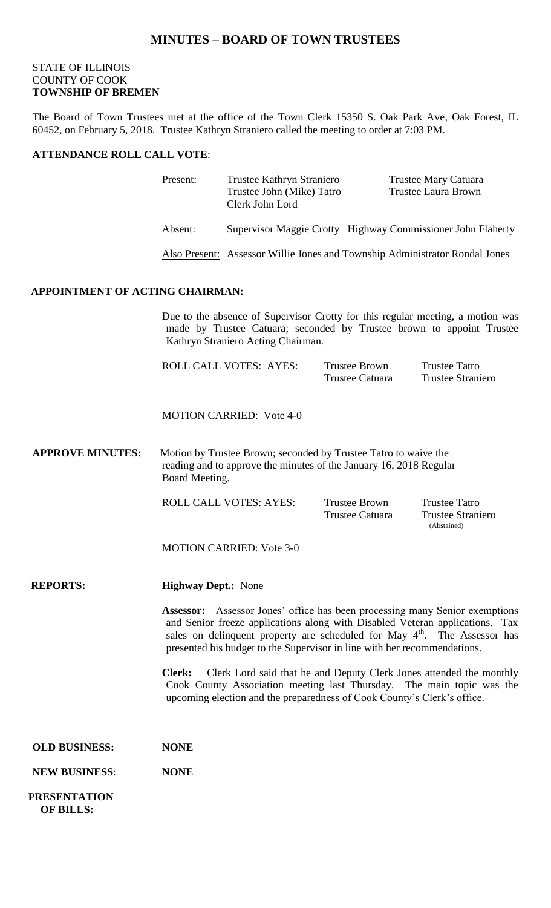## **MINUTES – BOARD OF TOWN TRUSTEES**

## STATE OF ILLINOIS COUNTY OF COOK **TOWNSHIP OF BREMEN**

The Board of Town Trustees met at the office of the Town Clerk 15350 S. Oak Park Ave, Oak Forest, IL 60452, on February 5, 2018. Trustee Kathryn Straniero called the meeting to order at 7:03 PM.

## **ATTENDANCE ROLL CALL VOTE**:

|                                        | Present:                                                                                                                                                                                      | Trustee Kathryn Straniero<br>Trustee John (Mike) Tatro<br>Clerk John Lord   |                                         |  | Trustee Mary Catuara<br><b>Trustee Laura Brown</b> |  |  |
|----------------------------------------|-----------------------------------------------------------------------------------------------------------------------------------------------------------------------------------------------|-----------------------------------------------------------------------------|-----------------------------------------|--|----------------------------------------------------|--|--|
|                                        | Absent:                                                                                                                                                                                       | Supervisor Maggie Crotty Highway Commissioner John Flaherty                 |                                         |  |                                                    |  |  |
|                                        |                                                                                                                                                                                               | Also Present: Assessor Willie Jones and Township Administrator Rondal Jones |                                         |  |                                                    |  |  |
| <b>APPOINTMENT OF ACTING CHAIRMAN:</b> |                                                                                                                                                                                               |                                                                             |                                         |  |                                                    |  |  |
|                                        | Due to the absence of Supervisor Crotty for this regular meeting, a motion was<br>made by Trustee Catuara; seconded by Trustee brown to appoint Trustee<br>Kathryn Straniero Acting Chairman. |                                                                             |                                         |  |                                                    |  |  |
|                                        |                                                                                                                                                                                               | <b>ROLL CALL VOTES: AYES:</b>                                               | <b>Trustee Brown</b><br>Trustee Catuara |  | <b>Trustee Tatro</b><br><b>Trustee Straniero</b>   |  |  |
|                                        |                                                                                                                                                                                               | <b>MOTION CARRIED: Vote 4-0</b>                                             |                                         |  |                                                    |  |  |
| <b>APPROVE MINUTES:</b>                | Motion by Trustee Brown; seconded by Trustee Tatro to waive the<br>reading and to approve the minutes of the January 16, 2018 Regular<br>Board Meeting.                                       |                                                                             |                                         |  |                                                    |  |  |
|                                        |                                                                                                                                                                                               | <b>ROLL CALL VOTES: AYES:</b>                                               | <b>Trustee Brown</b><br>Trustee Catuara |  | <b>Trustee Tatro</b><br>Trustee Straniero          |  |  |

MOTION CARRIED: Vote 3-0

#### **REPORTS: Highway Dept.:** None

**Assessor:** Assessor Jones' office has been processing many Senior exemptions and Senior freeze applications along with Disabled Veteran applications. Tax sales on delinquent property are scheduled for May 4<sup>th</sup>. The Assessor has presented his budget to the Supervisor in line with her recommendations.

(Abstained)

**Clerk:** Clerk Lord said that he and Deputy Clerk Jones attended the monthly Cook County Association meeting last Thursday. The main topic was the upcoming election and the preparedness of Cook County's Clerk's office.

| <b>OLD BUSINESS:</b> | <b>NONE</b> |
|----------------------|-------------|
|                      |             |

#### **NEW BUSINESS**: **NONE**

 **PRESENTATION OF BILLS:**